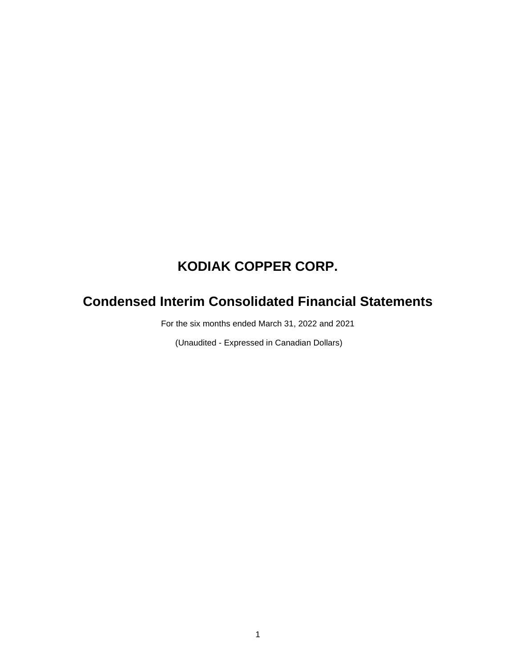# **Condensed Interim Consolidated Financial Statements**

For the six months ended March 31, 2022 and 2021

(Unaudited - Expressed in Canadian Dollars)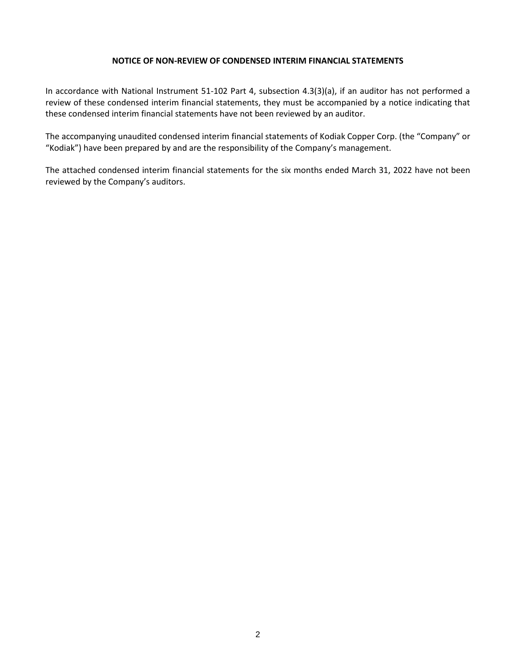#### **NOTICE OF NON-REVIEW OF CONDENSED INTERIM FINANCIAL STATEMENTS**

In accordance with National Instrument 51-102 Part 4, subsection 4.3(3)(a), if an auditor has not performed a review of these condensed interim financial statements, they must be accompanied by a notice indicating that these condensed interim financial statements have not been reviewed by an auditor.

The accompanying unaudited condensed interim financial statements of Kodiak Copper Corp. (the "Company" or "Kodiak") have been prepared by and are the responsibility of the Company's management.

The attached condensed interim financial statements for the six months ended March 31, 2022 have not been reviewed by the Company's auditors.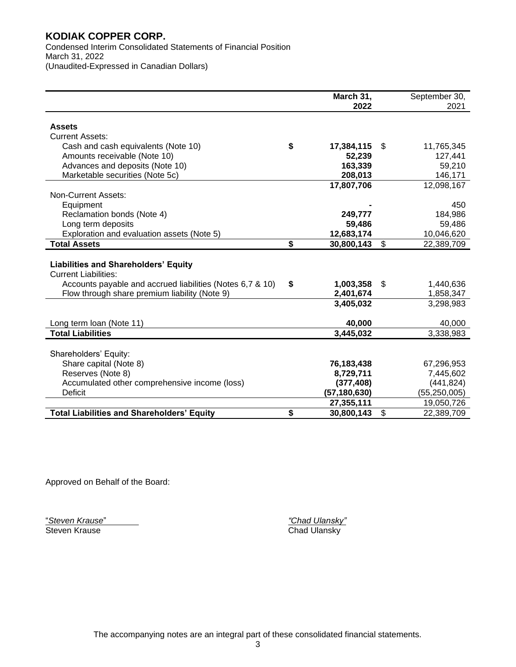Condensed Interim Consolidated Statements of Financial Position March 31, 2022 (Unaudited-Expressed in Canadian Dollars)

|                                                           | March 31,        | September 30,    |
|-----------------------------------------------------------|------------------|------------------|
|                                                           | 2022             | 2021             |
|                                                           |                  |                  |
| <b>Assets</b>                                             |                  |                  |
| <b>Current Assets:</b>                                    |                  |                  |
| Cash and cash equivalents (Note 10)                       | \$<br>17,384,115 | \$<br>11,765,345 |
| Amounts receivable (Note 10)                              | 52,239           | 127,441          |
| Advances and deposits (Note 10)                           | 163,339          | 59,210           |
| Marketable securities (Note 5c)                           | 208,013          | 146,171          |
|                                                           | 17,807,706       | 12,098,167       |
| <b>Non-Current Assets:</b>                                |                  |                  |
| Equipment                                                 |                  | 450              |
| Reclamation bonds (Note 4)                                | 249,777          | 184,986          |
| Long term deposits                                        | 59,486           | 59,486           |
| Exploration and evaluation assets (Note 5)                | 12,683,174       | 10,046,620       |
| <b>Total Assets</b>                                       | \$<br>30,800,143 | \$<br>22,389,709 |
|                                                           |                  |                  |
| <b>Liabilities and Shareholders' Equity</b>               |                  |                  |
| <b>Current Liabilities:</b>                               |                  |                  |
| Accounts payable and accrued liabilities (Notes 6,7 & 10) | \$<br>1,003,358  | \$<br>1,440,636  |
| Flow through share premium liability (Note 9)             | 2,401,674        | 1,858,347        |
|                                                           | 3,405,032        | 3,298,983        |
|                                                           |                  |                  |
| Long term loan (Note 11)                                  | 40,000           | 40,000           |
| <b>Total Liabilities</b>                                  | 3,445,032        | 3,338,983        |
|                                                           |                  |                  |
| Shareholders' Equity:                                     |                  |                  |
| Share capital (Note 8)                                    | 76,183,438       | 67,296,953       |
| Reserves (Note 8)                                         | 8,729,711        | 7,445,602        |
| Accumulated other comprehensive income (loss)             | (377, 408)       | (441, 824)       |
| Deficit                                                   | (57,180,630)     | (55, 250, 005)   |
|                                                           | 27,355,111       | 19,050,726       |
| <b>Total Liabilities and Shareholders' Equity</b>         | \$<br>30,800,143 | \$<br>22,389,709 |

Approved on Behalf of the Board:

"*Steven Krause*" *"Chad Ulansky"*

Chad Ulansky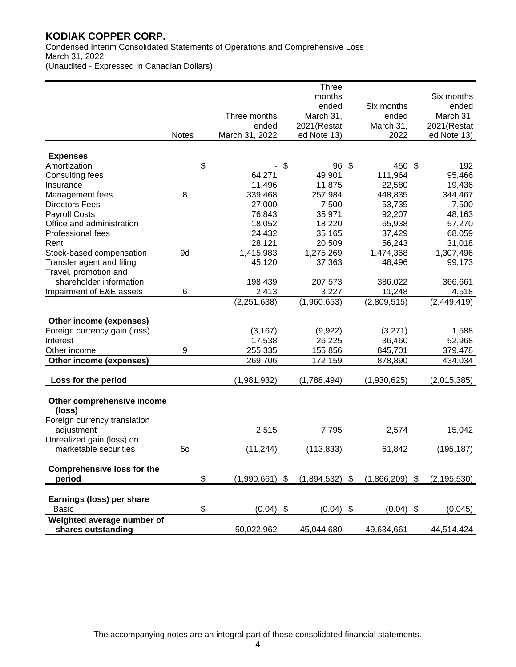Condensed Interim Consolidated Statements of Operations and Comprehensive Loss March 31, 2022 (Unaudited - Expressed in Canadian Dollars)

|                                   |              |                        | <b>Three</b> |                        |               |
|-----------------------------------|--------------|------------------------|--------------|------------------------|---------------|
|                                   |              |                        | months       |                        | Six months    |
|                                   |              |                        | ended        | Six months             | ended         |
|                                   |              | Three months           | March 31,    | ended                  | March 31,     |
|                                   |              | ended                  | 2021(Restat  | March 31,              | 2021(Restat   |
|                                   | <b>Notes</b> | March 31, 2022         | ed Note 13)  | 2022                   | ed Note 13)   |
|                                   |              |                        |              |                        |               |
| <b>Expenses</b><br>Amortization   |              | \$                     | 96 \$<br>\$  | 450 \$                 | 192           |
|                                   |              | 64,271                 | 49,901       | 111,964                | 95,466        |
| Consulting fees<br>Insurance      |              | 11,496                 | 11,875       | 22,580                 | 19,436        |
|                                   | 8            | 339,468                |              |                        |               |
| Management fees                   |              |                        | 257,984      | 448,835                | 344,467       |
| <b>Directors Fees</b>             |              | 27,000                 | 7,500        | 53,735                 | 7,500         |
| <b>Payroll Costs</b>              |              | 76,843                 | 35,971       | 92,207                 | 48,163        |
| Office and administration         |              | 18,052                 | 18,220       | 65,938                 | 57,270        |
| Professional fees                 |              | 24,432                 | 35,165       | 37,429                 | 68,059        |
| Rent                              |              | 28,121                 | 20,509       | 56,243                 | 31,018        |
| Stock-based compensation          | 9d           | 1,415,983              | 1,275,269    | 1,474,368              | 1,307,496     |
| Transfer agent and filing         |              | 45,120                 | 37,363       | 48,496                 | 99,173        |
| Travel, promotion and             |              |                        |              |                        |               |
| shareholder information           |              | 198,439                | 207,573      | 386,022                | 366,661       |
| Impairment of E&E assets          | 6            | 2,413                  | 3,227        | 11,248                 | 4,518         |
|                                   |              | (2, 251, 638)          | (1,960,653)  | (2,809,515)            | (2,449,419)   |
| Other income (expenses)           |              |                        |              |                        |               |
| Foreign currency gain (loss)      |              | (3, 167)               | (9,922)      | (3,271)                | 1,588         |
| Interest                          |              | 17,538                 | 26,225       | 36,460                 | 52,968        |
| Other income                      | 9            | 255,335                | 155,856      | 845,701                | 379,478       |
| Other income (expenses)           |              | 269,706                | 172,159      | 878,890                | 434,034       |
|                                   |              |                        |              |                        |               |
| Loss for the period               |              | (1,981,932)            | (1,788,494)  | (1,930,625)            | (2,015,385)   |
| Other comprehensive income        |              |                        |              |                        |               |
| (loss)                            |              |                        |              |                        |               |
| Foreign currency translation      |              |                        |              |                        |               |
| adjustment                        |              | 2,515                  | 7,795        | 2,574                  | 15,042        |
| Unrealized gain (loss) on         |              |                        |              |                        |               |
| marketable securities             | 5c           | (11, 244)              | (113, 833)   | 61,842                 | (195,187)     |
|                                   |              |                        |              |                        |               |
| <b>Comprehensive loss for the</b> |              |                        |              |                        |               |
| period                            |              | \$<br>$(1,990,661)$ \$ | (1,894,532)  | $(1,866,209)$ \$<br>\$ | (2, 195, 530) |
|                                   |              |                        |              |                        |               |
| Earnings (loss) per share         |              |                        |              |                        |               |
| <b>Basic</b>                      |              | \$<br>$(0.04)$ \$      | $(0.04)$ \$  | $(0.04)$ \$            | (0.045)       |
|                                   |              |                        |              |                        |               |
| Weighted average number of        |              |                        |              |                        |               |
| shares outstanding                |              | 50,022,962             | 45,044,680   | 49,634,661             | 44,514,424    |

The accompanying notes are an integral part of these consolidated financial statements.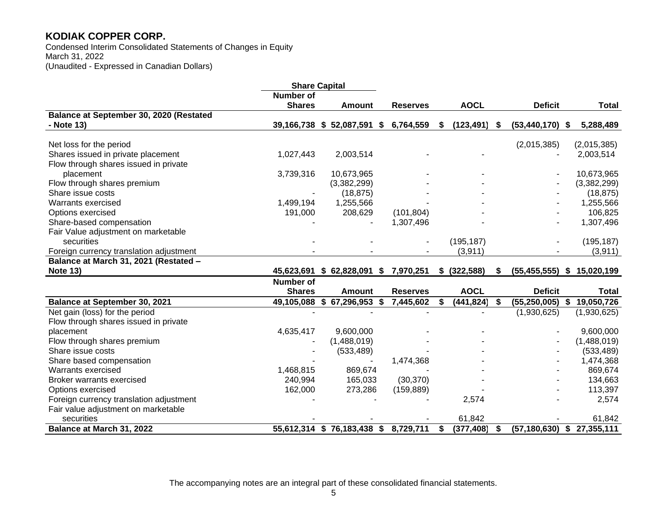Condensed Interim Consolidated Statements of Changes in Equity March 31, 2022 (Unaudited - Expressed in Canadian Dollars)

|                                         | <b>Share Capital</b> |                                     |                 |                  |              |                                |              |
|-----------------------------------------|----------------------|-------------------------------------|-----------------|------------------|--------------|--------------------------------|--------------|
|                                         | <b>Number of</b>     |                                     |                 |                  |              |                                |              |
|                                         | <b>Shares</b>        | <b>Amount</b>                       | <b>Reserves</b> | <b>AOCL</b>      |              | <b>Deficit</b>                 | <b>Total</b> |
| Balance at September 30, 2020 (Restated |                      |                                     |                 |                  |              |                                |              |
| - Note 13)                              |                      | 39,166,738 \$52,087,591 \$          | 6,764,559       | \$<br>(123, 491) | S.           | $(53,440,170)$ \$              | 5,288,489    |
|                                         |                      |                                     |                 |                  |              |                                |              |
| Net loss for the period                 |                      |                                     |                 |                  |              | (2,015,385)                    | (2,015,385)  |
| Shares issued in private placement      | 1,027,443            | 2,003,514                           |                 |                  |              |                                | 2,003,514    |
| Flow through shares issued in private   |                      |                                     |                 |                  |              |                                |              |
| placement                               | 3,739,316            | 10,673,965                          |                 |                  |              |                                | 10,673,965   |
| Flow through shares premium             |                      | (3,382,299)                         |                 |                  |              |                                | (3,382,299)  |
| Share issue costs                       |                      | (18, 875)                           |                 |                  |              |                                | (18, 875)    |
| Warrants exercised                      | 1,499,194            | 1,255,566                           |                 |                  |              |                                | 1,255,566    |
| Options exercised                       | 191,000              | 208,629                             | (101, 804)      |                  |              |                                | 106,825      |
| Share-based compensation                |                      |                                     | 1,307,496       |                  |              |                                | 1,307,496    |
| Fair Value adjustment on marketable     |                      |                                     |                 |                  |              |                                |              |
| securities                              |                      |                                     |                 | (195, 187)       |              |                                | (195, 187)   |
| Foreign currency translation adjustment |                      |                                     |                 | (3,911)          |              |                                | (3,911)      |
| Balance at March 31, 2021 (Restated -   |                      |                                     |                 |                  |              |                                |              |
| <b>Note 13)</b>                         |                      | 45,623,691 \$ 62,828,091 \$         | 7,970,251       | \$ (322,588)     | S            | $(55, 455, 555)$ \$            | 15,020,199   |
|                                         | <b>Number of</b>     |                                     |                 |                  |              |                                |              |
|                                         | <b>Shares</b>        | <b>Amount</b>                       | <b>Reserves</b> | <b>AOCL</b>      |              | <b>Deficit</b>                 | <b>Total</b> |
| <b>Balance at September 30, 2021</b>    | 49,105,088           | \$67,296,953\$                      | 7,445,602       | \$<br>(441, 824) | $\mathbf{s}$ | $(55, 250, 005)$ \$            | 19,050,726   |
| Net gain (loss) for the period          |                      |                                     |                 |                  |              | (1,930,625)                    | (1,930,625)  |
| Flow through shares issued in private   |                      |                                     |                 |                  |              |                                |              |
| placement                               | 4,635,417            | 9,600,000                           |                 |                  |              |                                | 9,600,000    |
| Flow through shares premium             |                      | (1,488,019)                         |                 |                  |              |                                | (1,488,019)  |
| Share issue costs                       |                      | (533, 489)                          |                 |                  |              |                                | (533, 489)   |
| Share based compensation                |                      |                                     | 1,474,368       |                  |              |                                | 1,474,368    |
| Warrants exercised                      | 1,468,815            | 869,674                             |                 |                  |              |                                | 869,674      |
| <b>Broker warrants exercised</b>        | 240,994              | 165,033                             | (30, 370)       |                  |              |                                | 134,663      |
| Options exercised                       | 162,000              | 273,286                             | (159, 889)      |                  |              |                                | 113,397      |
| Foreign currency translation adjustment |                      |                                     |                 | 2,574            |              |                                | 2,574        |
| Fair value adjustment on marketable     |                      |                                     |                 |                  |              |                                |              |
| securities                              |                      |                                     |                 | 61,842           |              |                                | 61,842       |
| Balance at March 31, 2022               |                      | 55,612,314 \$76,183,438 \$8,729,711 |                 | \$<br>(377, 408) | - \$         | $(57, 180, 630)$ \$ 27,355,111 |              |

The accompanying notes are an integral part of these consolidated financial statements.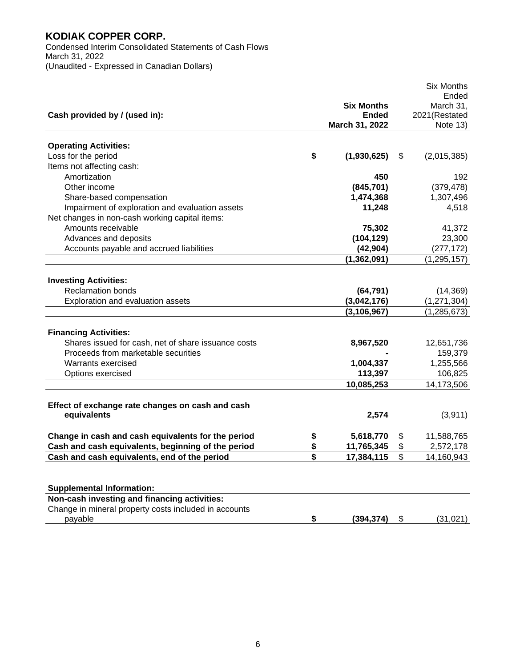Condensed Interim Consolidated Statements of Cash Flows March 31, 2022 (Unaudited - Expressed in Canadian Dollars)

|                                                       |                   | <b>Six Months</b> |
|-------------------------------------------------------|-------------------|-------------------|
|                                                       |                   | Ended             |
|                                                       | <b>Six Months</b> | March 31,         |
| Cash provided by / (used in):                         | Ended             | 2021(Restated     |
|                                                       | March 31, 2022    | Note 13)          |
| <b>Operating Activities:</b>                          |                   |                   |
| Loss for the period                                   | \$<br>(1,930,625) | \$<br>(2,015,385) |
| Items not affecting cash:                             |                   |                   |
| Amortization                                          | 450               | 192               |
| Other income                                          | (845, 701)        | (379, 478)        |
|                                                       |                   |                   |
| Share-based compensation                              | 1,474,368         | 1,307,496         |
| Impairment of exploration and evaluation assets       | 11,248            | 4,518             |
| Net changes in non-cash working capital items:        |                   |                   |
| Amounts receivable                                    | 75,302            | 41,372            |
| Advances and deposits                                 | (104, 129)        | 23,300            |
| Accounts payable and accrued liabilities              | (42, 904)         | (277, 172)        |
|                                                       | (1, 362, 091)     | (1, 295, 157)     |
|                                                       |                   |                   |
| <b>Investing Activities:</b>                          |                   |                   |
| <b>Reclamation bonds</b>                              | (64, 791)         | (14, 369)         |
| Exploration and evaluation assets                     | (3,042,176)       | (1, 271, 304)     |
|                                                       | (3, 106, 967)     | (1, 285, 673)     |
|                                                       |                   |                   |
| <b>Financing Activities:</b>                          |                   |                   |
| Shares issued for cash, net of share issuance costs   | 8,967,520         | 12,651,736        |
| Proceeds from marketable securities                   |                   | 159,379           |
| Warrants exercised                                    | 1,004,337         | 1,255,566         |
| Options exercised                                     | 113,397           | 106,825           |
|                                                       | 10,085,253        | 14,173,506        |
|                                                       |                   |                   |
| Effect of exchange rate changes on cash and cash      |                   |                   |
| equivalents                                           | 2,574             | (3,911)           |
|                                                       |                   |                   |
| Change in cash and cash equivalents for the period    | \$<br>5,618,770   | \$<br>11,588,765  |
| Cash and cash equivalents, beginning of the period    | \$<br>11,765,345  | \$<br>2,572,178   |
| Cash and cash equivalents, end of the period          | \$<br>17,384,115  | \$<br>14,160,943  |
|                                                       |                   |                   |
|                                                       |                   |                   |
| <b>Supplemental Information:</b>                      |                   |                   |
| Non-cash investing and financing activities:          |                   |                   |
| Change in mineral property costs included in accounts |                   |                   |
| payable                                               | \$<br>(394, 374)  | \$<br>(31, 021)   |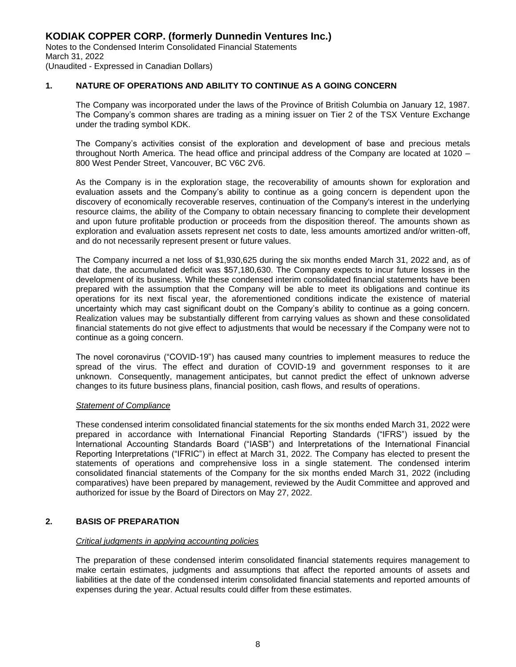#### **1. NATURE OF OPERATIONS AND ABILITY TO CONTINUE AS A GOING CONCERN**

 The Company was incorporated under the laws of the Province of British Columbia on January 12, 1987. The Company's common shares are trading as a mining issuer on Tier 2 of the TSX Venture Exchange under the trading symbol KDK.

 The Company's activities consist of the exploration and development of base and precious metals throughout North America. The head office and principal address of the Company are located at 1020 – 800 West Pender Street, Vancouver, BC V6C 2V6.

 As the Company is in the exploration stage, the recoverability of amounts shown for exploration and evaluation assets and the Company's ability to continue as a going concern is dependent upon the discovery of economically recoverable reserves, continuation of the Company's interest in the underlying resource claims, the ability of the Company to obtain necessary financing to complete their development and upon future profitable production or proceeds from the disposition thereof. The amounts shown as exploration and evaluation assets represent net costs to date, less amounts amortized and/or written-off, and do not necessarily represent present or future values.

 The Company incurred a net loss of \$1,930,625 during the six months ended March 31, 2022 and, as of that date, the accumulated deficit was \$57,180,630. The Company expects to incur future losses in the development of its business. While these condensed interim consolidated financial statements have been prepared with the assumption that the Company will be able to meet its obligations and continue its operations for its next fiscal year, the aforementioned conditions indicate the existence of material uncertainty which may cast significant doubt on the Company's ability to continue as a going concern. Realization values may be substantially different from carrying values as shown and these consolidated financial statements do not give effect to adjustments that would be necessary if the Company were not to continue as a going concern.

The novel coronavirus ("COVID-19") has caused many countries to implement measures to reduce the spread of the virus. The effect and duration of COVID-19 and government responses to it are unknown. Consequently, management anticipates, but cannot predict the effect of unknown adverse changes to its future business plans, financial position, cash flows, and results of operations.

#### *Statement of Compliance*

 These condensed interim consolidated financial statements for the six months ended March 31, 2022 were prepared in accordance with International Financial Reporting Standards ("IFRS") issued by the International Accounting Standards Board ("IASB") and Interpretations of the International Financial Reporting Interpretations ("IFRIC") in effect at March 31, 2022. The Company has elected to present the statements of operations and comprehensive loss in a single statement. The condensed interim consolidated financial statements of the Company for the six months ended March 31, 2022 (including comparatives) have been prepared by management, reviewed by the Audit Committee and approved and authorized for issue by the Board of Directors on May 27, 2022.

#### **2. BASIS OF PREPARATION**

#### *Critical judgments in applying accounting policies*

 The preparation of these condensed interim consolidated financial statements requires management to make certain estimates, judgments and assumptions that affect the reported amounts of assets and liabilities at the date of the condensed interim consolidated financial statements and reported amounts of expenses during the year. Actual results could differ from these estimates.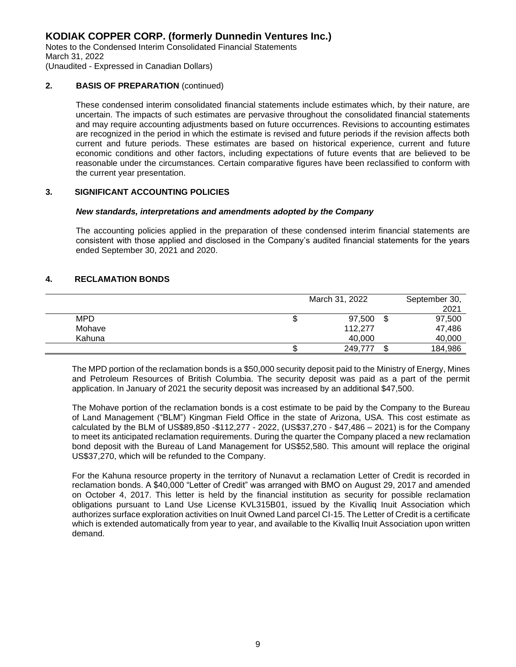Notes to the Condensed Interim Consolidated Financial Statements March 31, 2022

(Unaudited - Expressed in Canadian Dollars)

#### **2. BASIS OF PREPARATION** (continued)

 These condensed interim consolidated financial statements include estimates which, by their nature, are uncertain. The impacts of such estimates are pervasive throughout the consolidated financial statements and may require accounting adjustments based on future occurrences. Revisions to accounting estimates are recognized in the period in which the estimate is revised and future periods if the revision affects both current and future periods. These estimates are based on historical experience, current and future economic conditions and other factors, including expectations of future events that are believed to be reasonable under the circumstances. Certain comparative figures have been reclassified to conform with the current year presentation.

#### **3. SIGNIFICANT ACCOUNTING POLICIES**

#### *New standards, interpretations and amendments adopted by the Company*

The accounting policies applied in the preparation of these condensed interim financial statements are consistent with those applied and disclosed in the Company's audited financial statements for the years ended September 30, 2021 and 2020.

#### **4. RECLAMATION BONDS**

|            |   | March 31, 2022 |         | September 30, |
|------------|---|----------------|---------|---------------|
|            |   |                |         | 2021          |
| <b>MPD</b> | Ψ | 97,500         | \$      | 97,500        |
| Mohave     |   | 112.277        |         | 47,486        |
| Kahuna     |   | 40,000         |         | 40,000        |
|            |   | 249,777        | ጦ<br>۰D | 184,986       |

 The MPD portion of the reclamation bonds is a \$50,000 security deposit paid to the Ministry of Energy, Mines and Petroleum Resources of British Columbia. The security deposit was paid as a part of the permit application. In January of 2021 the security deposit was increased by an additional \$47,500.

The Mohave portion of the reclamation bonds is a cost estimate to be paid by the Company to the Bureau of Land Management ("BLM") Kingman Field Office in the state of Arizona, USA. This cost estimate as calculated by the BLM of US\$89,850 -\$112,277 - 2022, (US\$37,270 - \$47,486 – 2021) is for the Company to meet its anticipated reclamation requirements. During the quarter the Company placed a new reclamation bond deposit with the Bureau of Land Management for US\$52,580. This amount will replace the original US\$37,270, which will be refunded to the Company.

For the Kahuna resource property in the territory of Nunavut a reclamation Letter of Credit is recorded in reclamation bonds. A \$40,000 "Letter of Credit" was arranged with BMO on August 29, 2017 and amended on October 4, 2017. This letter is held by the financial institution as security for possible reclamation obligations pursuant to Land Use License KVL315B01, issued by the Kivalliq Inuit Association which authorizes surface exploration activities on Inuit Owned Land parcel CI-15. The Letter of Credit is a certificate which is extended automatically from year to year, and available to the Kivalliq Inuit Association upon written demand.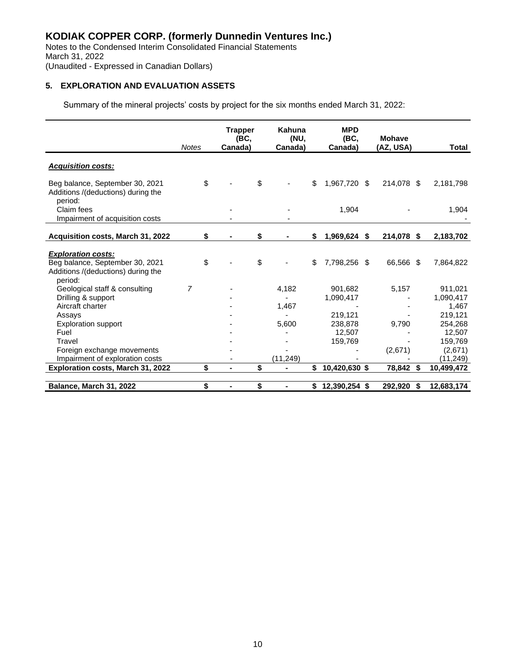Notes to the Condensed Interim Consolidated Financial Statements March 31, 2022 (Unaudited - Expressed in Canadian Dollars)

# **5. EXPLORATION AND EVALUATION ASSETS**

Summary of the mineral projects' costs by project for the six months ended March 31, 2022:

|                                                                                                    | <b>Notes</b> | Trapper<br>(BC,<br>Canada) | Kahuna<br>(NU,<br>Canada) | <b>MPD</b><br>(BC,<br>Canada) | <b>Mohave</b><br>(AZ, USA) |      | Total      |
|----------------------------------------------------------------------------------------------------|--------------|----------------------------|---------------------------|-------------------------------|----------------------------|------|------------|
| <b>Acquisition costs:</b>                                                                          |              |                            |                           |                               |                            |      |            |
| Beg balance, September 30, 2021<br>Additions /(deductions) during the<br>period:                   | \$           |                            | \$                        | \$<br>1,967,720 \$            | 214,078 \$                 |      | 2,181,798  |
| Claim fees<br>Impairment of acquisition costs                                                      |              |                            |                           | 1,904                         |                            |      | 1,904      |
| Acquisition costs, March 31, 2022                                                                  | \$           |                            | \$                        | \$<br>1,969,624 \$            | 214,078                    | - \$ | 2,183,702  |
|                                                                                                    |              |                            |                           |                               |                            |      |            |
| <b>Exploration costs:</b><br>Beg balance, September 30, 2021<br>Additions /(deductions) during the | \$           |                            | \$                        | \$<br>7,798,256 \$            | 66,566 \$                  |      | 7,864,822  |
| period:<br>Geological staff & consulting                                                           | 7            |                            | 4,182                     | 901,682                       | 5,157                      |      | 911,021    |
| Drilling & support                                                                                 |              |                            |                           | 1,090,417                     |                            |      | 1,090,417  |
| Aircraft charter                                                                                   |              |                            | 1,467                     |                               |                            |      | 1,467      |
| Assays                                                                                             |              |                            |                           | 219,121                       |                            |      | 219,121    |
| <b>Exploration support</b>                                                                         |              |                            | 5,600                     | 238,878                       | 9,790                      |      | 254,268    |
| Fuel                                                                                               |              |                            |                           | 12,507                        |                            |      | 12,507     |
| Travel                                                                                             |              |                            |                           | 159,769                       |                            |      | 159,769    |
| Foreign exchange movements                                                                         |              |                            |                           |                               | (2,671)                    |      | (2,671)    |
| Impairment of exploration costs                                                                    |              |                            | (11, 249)                 |                               |                            |      | (11, 249)  |
| Exploration costs, March 31, 2022                                                                  | \$           | $\blacksquare$             | \$<br>$\blacksquare$      | \$<br>10,420,630 \$           | 78,842 \$                  |      | 10,499,472 |
|                                                                                                    |              |                            |                           |                               |                            |      |            |
| Balance, March 31, 2022                                                                            | \$           | $\blacksquare$             | \$<br>$\blacksquare$      | $$12,390,254$ \$              | 292,920                    | \$   | 12,683,174 |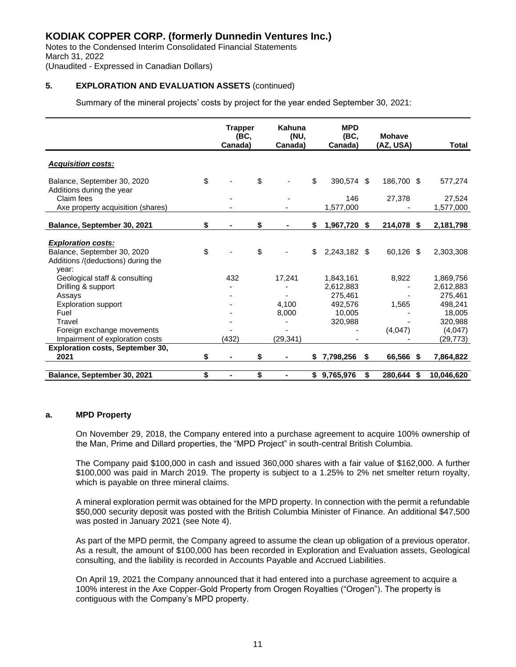Notes to the Condensed Interim Consolidated Financial Statements March 31, 2022

#### (Unaudited - Expressed in Canadian Dollars)

#### **5. EXPLORATION AND EVALUATION ASSETS** (continued)

Summary of the mineral projects' costs by project for the year ended September 30, 2021:

|                                                                                  | <b>Trapper</b><br>(BC, | Kahuna<br><b>MPD</b><br>(NU,<br>(BC, |    |                        | <b>Mohave</b> |            |      |                                 |
|----------------------------------------------------------------------------------|------------------------|--------------------------------------|----|------------------------|---------------|------------|------|---------------------------------|
|                                                                                  | Canada)                | Canada)                              |    | Canada)                |               | (AZ, USA)  |      | Total                           |
| <b>Acquisition costs:</b>                                                        |                        |                                      |    |                        |               |            |      |                                 |
| \$<br>Balance, September 30, 2020<br>Additions during the year                   |                        | \$                                   | \$ | 390,574 \$             |               | 186,700 \$ |      | 577,274                         |
| Claim fees<br>Axe property acquisition (shares)                                  |                        |                                      |    | 146<br>1,577,000       |               | 27,378     |      | 27,524<br>1,577,000             |
| Balance, September 30, 2021                                                      | \$                     | \$                                   | \$ | 1,967,720              | - \$          | 214,078    | - \$ | 2,181,798                       |
| <b>Exploration costs:</b>                                                        |                        |                                      |    |                        |               |            |      |                                 |
| \$<br>Balance, September 30, 2020<br>Additions /(deductions) during the<br>year: |                        | \$                                   | \$ | 2,243,182 \$           |               | 60,126 \$  |      | 2,303,308                       |
| Geological staff & consulting<br>Drilling & support                              | 432                    | 17,241                               |    | 1,843,161<br>2,612,883 |               | 8,922      |      | 1,869,756<br>2,612,883          |
| Assays<br><b>Exploration support</b>                                             |                        | 4,100                                |    | 275,461<br>492,576     |               | 1,565      |      | 275,461<br>498,241              |
| Fuel                                                                             |                        | 8,000                                |    | 10.005                 |               |            |      | 18,005                          |
| Travel<br>Foreign exchange movements<br>Impairment of exploration costs          | (432)                  | (29, 341)                            |    | 320,988                |               | (4,047)    |      | 320,988<br>(4,047)<br>(29, 773) |
| <b>Exploration costs, September 30,</b>                                          |                        |                                      |    |                        |               |            |      |                                 |
| 2021                                                                             | \$<br>Ξ.               | \$<br>$\blacksquare$                 | S. | 7,798,256              | \$            | 66,566 \$  |      | 7,864,822                       |
| Balance, September 30, 2021                                                      | \$<br>$\blacksquare$   | \$                                   | \$ | 9,765,976              | \$            | 280.644    | -\$  | 10,046,620                      |

#### **a. MPD Property**

 On November 29, 2018, the Company entered into a purchase agreement to acquire 100% ownership of the Man, Prime and Dillard properties, the "MPD Project" in south-central British Columbia.

 The Company paid \$100,000 in cash and issued 360,000 shares with a fair value of \$162,000. A further \$100,000 was paid in March 2019. The property is subject to a 1.25% to 2% net smelter return royalty, which is payable on three mineral claims.

 A mineral exploration permit was obtained for the MPD property. In connection with the permit a refundable \$50,000 security deposit was posted with the British Columbia Minister of Finance. An additional \$47,500 was posted in January 2021 (see Note 4).

As part of the MPD permit, the Company agreed to assume the clean up obligation of a previous operator. As a result, the amount of \$100,000 has been recorded in Exploration and Evaluation assets, Geological consulting, and the liability is recorded in Accounts Payable and Accrued Liabilities.

On April 19, 2021 the Company announced that it had entered into a purchase agreement to acquire a 100% interest in the Axe Copper-Gold Property from Orogen Royalties ("Orogen"). The property is contiguous with the Company's MPD property.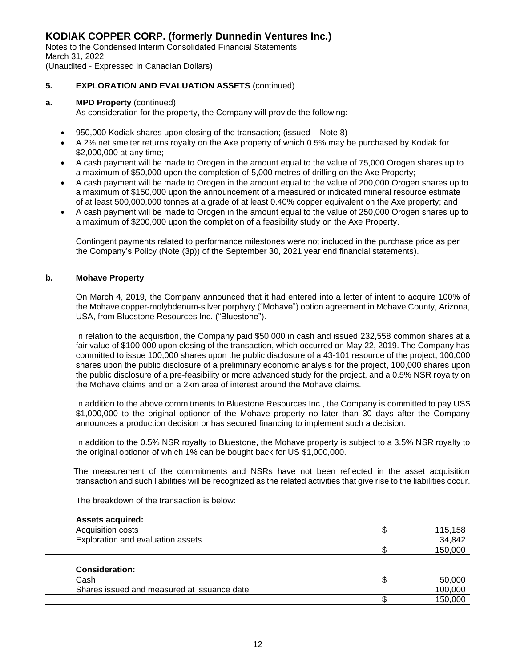Notes to the Condensed Interim Consolidated Financial Statements March 31, 2022

### (Unaudited - Expressed in Canadian Dollars)

#### **5. EXPLORATION AND EVALUATION ASSETS** (continued)

#### **a. MPD Property** (continued)

As consideration for the property, the Company will provide the following:

- 950,000 Kodiak shares upon closing of the transaction; (issued Note 8)
- A 2% net smelter returns royalty on the Axe property of which 0.5% may be purchased by Kodiak for \$2,000,000 at any time;
- A cash payment will be made to Orogen in the amount equal to the value of 75,000 Orogen shares up to a maximum of \$50,000 upon the completion of 5,000 metres of drilling on the Axe Property;
- A cash payment will be made to Orogen in the amount equal to the value of 200,000 Orogen shares up to a maximum of \$150,000 upon the announcement of a measured or indicated mineral resource estimate of at least 500,000,000 tonnes at a grade of at least 0.40% copper equivalent on the Axe property; and
- A cash payment will be made to Orogen in the amount equal to the value of 250,000 Orogen shares up to a maximum of \$200,000 upon the completion of a feasibility study on the Axe Property.

Contingent payments related to performance milestones were not included in the purchase price as per the Company's Policy (Note (3p)) of the September 30, 2021 year end financial statements).

#### **b. Mohave Property**

 On March 4, 2019, the Company announced that it had entered into a letter of intent to acquire 100% of the Mohave copper-molybdenum-silver porphyry ("Mohave") option agreement in Mohave County, Arizona, USA, from Bluestone Resources Inc. ("Bluestone").

 In relation to the acquisition, the Company paid \$50,000 in cash and issued 232,558 common shares at a fair value of \$100,000 upon closing of the transaction, which occurred on May 22, 2019. The Company has committed to issue 100,000 shares upon the public disclosure of a 43-101 resource of the project, 100,000 shares upon the public disclosure of a preliminary economic analysis for the project, 100,000 shares upon the public disclosure of a pre-feasibility or more advanced study for the project, and a 0.5% NSR royalty on the Mohave claims and on a 2km area of interest around the Mohave claims.

 In addition to the above commitments to Bluestone Resources Inc., the Company is committed to pay US\$ \$1,000,000 to the original optionor of the Mohave property no later than 30 days after the Company announces a production decision or has secured financing to implement such a decision.

 In addition to the 0.5% NSR royalty to Bluestone, the Mohave property is subject to a 3.5% NSR royalty to the original optionor of which 1% can be bought back for US \$1,000,000.

 The measurement of the commitments and NSRs have not been reflected in the asset acquisition transaction and such liabilities will be recognized as the related activities that give rise to the liabilities occur.

The breakdown of the transaction is below:

| <b>Assets acquired:</b>                     |         |
|---------------------------------------------|---------|
| Acquisition costs                           | 115,158 |
| Exploration and evaluation assets           | 34,842  |
|                                             | 150,000 |
| <b>Consideration:</b>                       |         |
| Cash                                        | 50,000  |
| Shares issued and measured at issuance date | 100,000 |
|                                             | 150,000 |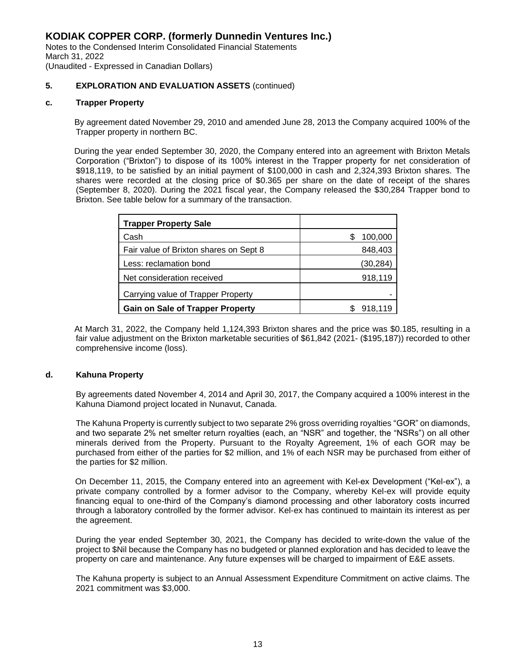Notes to the Condensed Interim Consolidated Financial Statements March 31, 2022 (Unaudited - Expressed in Canadian Dollars)

#### **5. EXPLORATION AND EVALUATION ASSETS** (continued)

#### **c. Trapper Property**

 By agreement dated November 29, 2010 and amended June 28, 2013 the Company acquired 100% of the Trapper property in northern BC.

 During the year ended September 30, 2020, the Company entered into an agreement with Brixton Metals Corporation ("Brixton") to dispose of its 100% interest in the Trapper property for net consideration of \$918,119, to be satisfied by an initial payment of \$100,000 in cash and 2,324,393 Brixton shares. The shares were recorded at the closing price of \$0.365 per share on the date of receipt of the shares (September 8, 2020). During the 2021 fiscal year, the Company released the \$30,284 Trapper bond to Brixton. See table below for a summary of the transaction.

| <b>Trapper Property Sale</b>            |          |
|-----------------------------------------|----------|
| Cash                                    | 100,000  |
| Fair value of Brixton shares on Sept 8  | 848,403  |
| Less: reclamation bond                  | (30,284) |
| Net consideration received              | 918,119  |
| Carrying value of Trapper Property      |          |
| <b>Gain on Sale of Trapper Property</b> | 918,119  |

 At March 31, 2022, the Company held 1,124,393 Brixton shares and the price was \$0.185, resulting in a fair value adjustment on the Brixton marketable securities of \$61,842 (2021- (\$195,187)) recorded to other comprehensive income (loss).

#### **d. Kahuna Property**

 By agreements dated November 4, 2014 and April 30, 2017, the Company acquired a 100% interest in the Kahuna Diamond project located in Nunavut, Canada.

 The Kahuna Property is currently subject to two separate 2% gross overriding royalties "GOR" on diamonds, and two separate 2% net smelter return royalties (each, an "NSR" and together, the "NSRs") on all other minerals derived from the Property. Pursuant to the Royalty Agreement, 1% of each GOR may be purchased from either of the parties for \$2 million, and 1% of each NSR may be purchased from either of the parties for \$2 million.

 On December 11, 2015, the Company entered into an agreement with Kel-ex Development ("Kel-ex"), a private company controlled by a former advisor to the Company, whereby Kel-ex will provide equity financing equal to one-third of the Company's diamond processing and other laboratory costs incurred through a laboratory controlled by the former advisor. Kel-ex has continued to maintain its interest as per the agreement.

During the year ended September 30, 2021, the Company has decided to write-down the value of the project to \$Nil because the Company has no budgeted or planned exploration and has decided to leave the property on care and maintenance. Any future expenses will be charged to impairment of E&E assets.

The Kahuna property is subject to an Annual Assessment Expenditure Commitment on active claims. The 2021 commitment was \$3,000.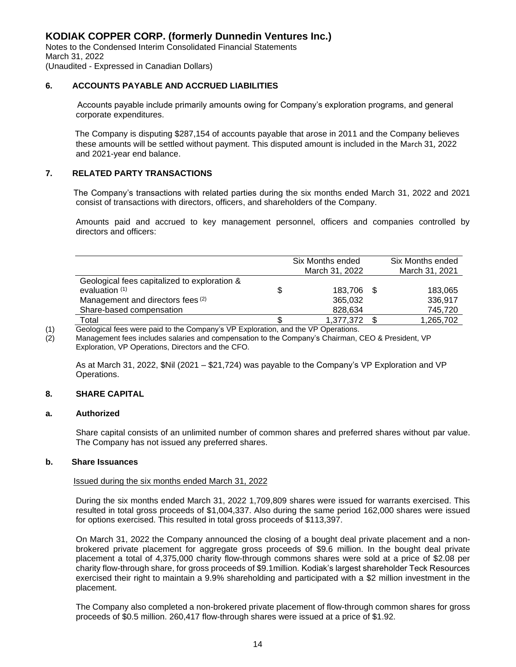Notes to the Condensed Interim Consolidated Financial Statements March 31, 2022 (Unaudited - Expressed in Canadian Dollars)

#### **6. ACCOUNTS PAYABLE AND ACCRUED LIABILITIES**

 Accounts payable include primarily amounts owing for Company's exploration programs, and general corporate expenditures.

 The Company is disputing \$287,154 of accounts payable that arose in 2011 and the Company believes these amounts will be settled without payment. This disputed amount is included in the March 31, 2022 and 2021-year end balance.

#### **7. RELATED PARTY TRANSACTIONS**

 The Company's transactions with related parties during the six months ended March 31, 2022 and 2021 consist of transactions with directors, officers, and shareholders of the Company.

 Amounts paid and accrued to key management personnel, officers and companies controlled by directors and officers:

|                                              | Six Months ended |      | Six Months ended |
|----------------------------------------------|------------------|------|------------------|
|                                              | March 31, 2022   |      | March 31, 2021   |
| Geological fees capitalized to exploration & |                  |      |                  |
| evaluation $(1)$                             | 183.706          | - \$ | 183,065          |
| Management and directors fees (2)            | 365.032          |      | 336,917          |
| Share-based compensation                     | 828,634          |      | 745,720          |
| Total                                        | 1,377,372        |      | 1,265,702        |

(1) Geological fees were paid to the Company's VP Exploration, and the VP Operations.<br>(2) Management fees includes salaries and compensation to the Company's Chairman, ( Management fees includes salaries and compensation to the Company's Chairman, CEO & President, VP Exploration, VP Operations, Directors and the CFO.

As at March 31, 2022, \$Nil (2021 – \$21,724) was payable to the Company's VP Exploration and VP Operations.

#### **8. SHARE CAPITAL**

#### **a. Authorized**

Share capital consists of an unlimited number of common shares and preferred shares without par value. The Company has not issued any preferred shares.

#### **b. Share Issuances**

#### Issued during the six months ended March 31, 2022

During the six months ended March 31, 2022 1,709,809 shares were issued for warrants exercised. This resulted in total gross proceeds of \$1,004,337. Also during the same period 162,000 shares were issued for options exercised. This resulted in total gross proceeds of \$113,397.

On March 31, 2022 the Company announced the closing of a bought deal private placement and a nonbrokered private placement for aggregate gross proceeds of \$9.6 million. In the bought deal private placement a total of 4,375,000 charity flow-through commons shares were sold at a price of \$2.08 per charity flow-through share, for gross proceeds of \$9.1million. Kodiak's largest shareholder Teck Resources exercised their right to maintain a 9.9% shareholding and participated with a \$2 million investment in the placement.

The Company also completed a non-brokered private placement of flow-through common shares for gross proceeds of \$0.5 million. 260,417 flow-through shares were issued at a price of \$1.92.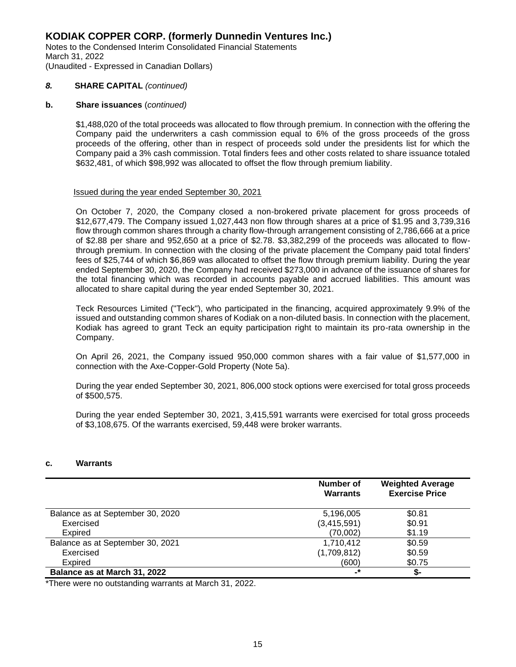Notes to the Condensed Interim Consolidated Financial Statements March 31, 2022 (Unaudited - Expressed in Canadian Dollars)

#### *8.* **SHARE CAPITAL** *(continued)*

#### **b. Share issuances** (*continued)*

\$1,488,020 of the total proceeds was allocated to flow through premium. In connection with the offering the Company paid the underwriters a cash commission equal to 6% of the gross proceeds of the gross proceeds of the offering, other than in respect of proceeds sold under the presidents list for which the Company paid a 3% cash commission. Total finders fees and other costs related to share issuance totaled \$632,481, of which \$98,992 was allocated to offset the flow through premium liability.

#### Issued during the year ended September 30, 2021

On October 7, 2020, the Company closed a non-brokered private placement for gross proceeds of \$12,677,479. The Company issued 1,027,443 non flow through shares at a price of \$1.95 and 3,739,316 flow through common shares through a charity flow-through arrangement consisting of 2,786,666 at a price of \$2.88 per share and 952,650 at a price of \$2.78. \$3,382,299 of the proceeds was allocated to flowthrough premium. In connection with the closing of the private placement the Company paid total finders' fees of \$25,744 of which \$6,869 was allocated to offset the flow through premium liability. During the year ended September 30, 2020, the Company had received \$273,000 in advance of the issuance of shares for the total financing which was recorded in accounts payable and accrued liabilities. This amount was allocated to share capital during the year ended September 30, 2021.

Teck Resources Limited ("Teck"), who participated in the financing, acquired approximately 9.9% of the issued and outstanding common shares of Kodiak on a non-diluted basis. In connection with the placement, Kodiak has agreed to grant Teck an equity participation right to maintain its pro-rata ownership in the Company.

On April 26, 2021, the Company issued 950,000 common shares with a fair value of \$1,577,000 in connection with the Axe-Copper-Gold Property (Note 5a).

During the year ended September 30, 2021, 806,000 stock options were exercised for total gross proceeds of \$500,575.

During the year ended September 30, 2021, 3,415,591 warrants were exercised for total gross proceeds of \$3,108,675. Of the warrants exercised, 59,448 were broker warrants.

#### **c. Warrants**

|                                  | <b>Number of</b><br><b>Warrants</b> | <b>Weighted Average</b><br><b>Exercise Price</b> |
|----------------------------------|-------------------------------------|--------------------------------------------------|
| Balance as at September 30, 2020 | 5,196,005                           | \$0.81                                           |
| Exercised                        | (3,415,591)                         | \$0.91                                           |
| Expired                          | (70,002)                            | \$1.19                                           |
| Balance as at September 30, 2021 | 1,710,412                           | \$0.59                                           |
| Exercised                        | (1,709,812)                         | \$0.59                                           |
| Expired                          | (600)                               | \$0.75                                           |
| Balance as at March 31, 2022     | -*                                  | S-                                               |

\*There were no outstanding warrants at March 31, 2022.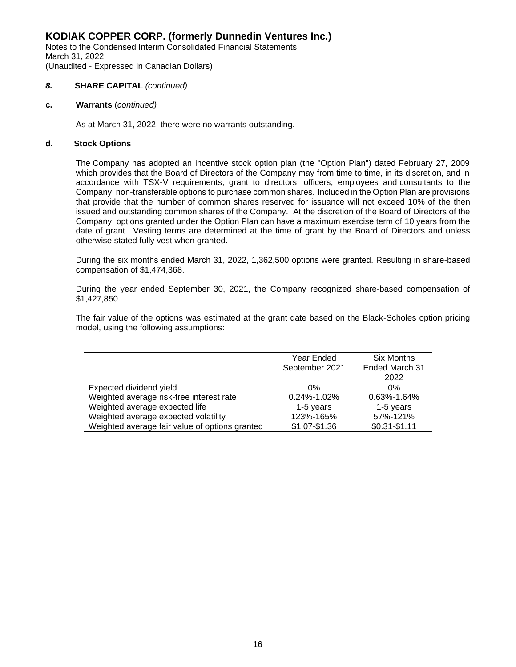Notes to the Condensed Interim Consolidated Financial Statements March 31, 2022 (Unaudited - Expressed in Canadian Dollars)

#### *8.* **SHARE CAPITAL** *(continued)*

#### **c. Warrants** (*continued)*

As at March 31, 2022, there were no warrants outstanding.

#### **d. Stock Options**

 The Company has adopted an incentive stock option plan (the "Option Plan") dated February 27, 2009 which provides that the Board of Directors of the Company may from time to time, in its discretion, and in accordance with TSX-V requirements, grant to directors, officers, employees and consultants to the Company, non-transferable options to purchase common shares. Included in the Option Plan are provisions that provide that the number of common shares reserved for issuance will not exceed 10% of the then issued and outstanding common shares of the Company. At the discretion of the Board of Directors of the Company, options granted under the Option Plan can have a maximum exercise term of 10 years from the date of grant. Vesting terms are determined at the time of grant by the Board of Directors and unless otherwise stated fully vest when granted.

During the six months ended March 31, 2022, 1,362,500 options were granted. Resulting in share-based compensation of \$1,474,368.

 During the year ended September 30, 2021, the Company recognized share-based compensation of \$1,427,850.

The fair value of the options was estimated at the grant date based on the Black-Scholes option pricing model, using the following assumptions:

|                                                | Year Ended<br>September 2021 | <b>Six Months</b><br>Ended March 31<br>2022 |
|------------------------------------------------|------------------------------|---------------------------------------------|
| Expected dividend yield                        | 0%                           | 0%                                          |
| Weighted average risk-free interest rate       | $0.24\% - 1.02\%$            | $0.63\% - 1.64\%$                           |
| Weighted average expected life                 | 1-5 years                    | 1-5 years                                   |
| Weighted average expected volatility           | 123%-165%                    | 57%-121%                                    |
| Weighted average fair value of options granted | \$1.07-\$1.36                | $$0.31 - $1.11$                             |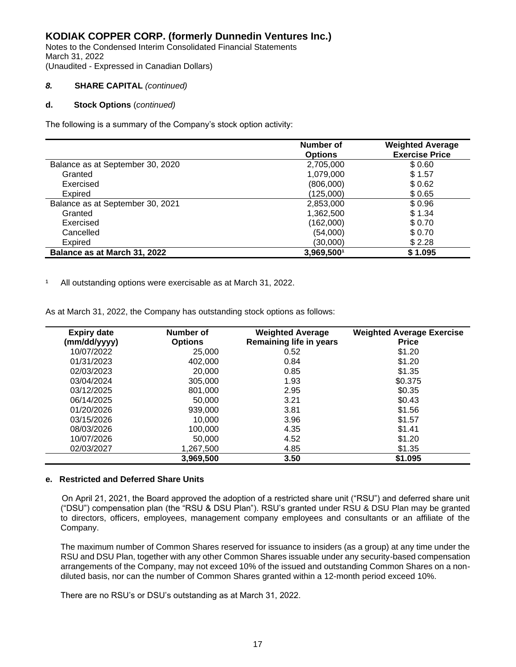Notes to the Condensed Interim Consolidated Financial Statements March 31, 2022 (Unaudited - Expressed in Canadian Dollars)

#### *8.* **SHARE CAPITAL** *(continued)*

#### **d. Stock Options** (*continued)*

The following is a summary of the Company's stock option activity:

|                                  | Number of<br><b>Options</b> | <b>Weighted Average</b><br><b>Exercise Price</b> |
|----------------------------------|-----------------------------|--------------------------------------------------|
| Balance as at September 30, 2020 | 2,705,000                   | \$0.60                                           |
| Granted                          | 1,079,000                   | \$1.57                                           |
| Exercised                        | (806,000)                   | \$0.62                                           |
| Expired                          | (125,000)                   | \$0.65                                           |
| Balance as at September 30, 2021 | 2,853,000                   | \$0.96                                           |
| Granted                          | 1,362,500                   | \$1.34                                           |
| Exercised                        | (162,000)                   | \$0.70                                           |
| Cancelled                        | (54,000)                    | \$0.70                                           |
| Expired                          | (30,000)                    | \$2.28                                           |
| Balance as at March 31, 2022     | 3,969,5001                  | \$1.095                                          |

<sup>1</sup> All outstanding options were exercisable as at March 31, 2022.

| <b>Expiry date</b><br>(mm/dd/yyyy) | Number of<br><b>Options</b> | <b>Weighted Average</b><br><b>Remaining life in years</b> | <b>Weighted Average Exercise</b><br><b>Price</b> |
|------------------------------------|-----------------------------|-----------------------------------------------------------|--------------------------------------------------|
| 10/07/2022                         | 25,000                      | 0.52                                                      | \$1.20                                           |
| 01/31/2023                         | 402,000                     | 0.84                                                      | \$1.20                                           |
| 02/03/2023                         | 20,000                      | 0.85                                                      | \$1.35                                           |
| 03/04/2024                         | 305,000                     | 1.93                                                      | \$0.375                                          |
| 03/12/2025                         | 801.000                     | 2.95                                                      | \$0.35                                           |
| 06/14/2025                         | 50,000                      | 3.21                                                      | \$0.43                                           |
| 01/20/2026                         | 939,000                     | 3.81                                                      | \$1.56                                           |
| 03/15/2026                         | 10.000                      | 3.96                                                      | \$1.57                                           |
| 08/03/2026                         | 100,000                     | 4.35                                                      | \$1.41                                           |
| 10/07/2026                         | 50,000                      | 4.52                                                      | \$1.20                                           |
| 02/03/2027                         | 1.267.500                   | 4.85                                                      | \$1.35                                           |
|                                    | 3,969,500                   | 3.50                                                      | \$1.095                                          |

As at March 31, 2022, the Company has outstanding stock options as follows:

#### **e. Restricted and Deferred Share Units**

 On April 21, 2021, the Board approved the adoption of a restricted share unit ("RSU") and deferred share unit ("DSU") compensation plan (the "RSU & DSU Plan"). RSU's granted under RSU & DSU Plan may be granted to directors, officers, employees, management company employees and consultants or an affiliate of the Company.

The maximum number of Common Shares reserved for issuance to insiders (as a group) at any time under the RSU and DSU Plan, together with any other Common Shares issuable under any security-based compensation arrangements of the Company, may not exceed 10% of the issued and outstanding Common Shares on a nondiluted basis, nor can the number of Common Shares granted within a 12-month period exceed 10%.

There are no RSU's or DSU's outstanding as at March 31, 2022.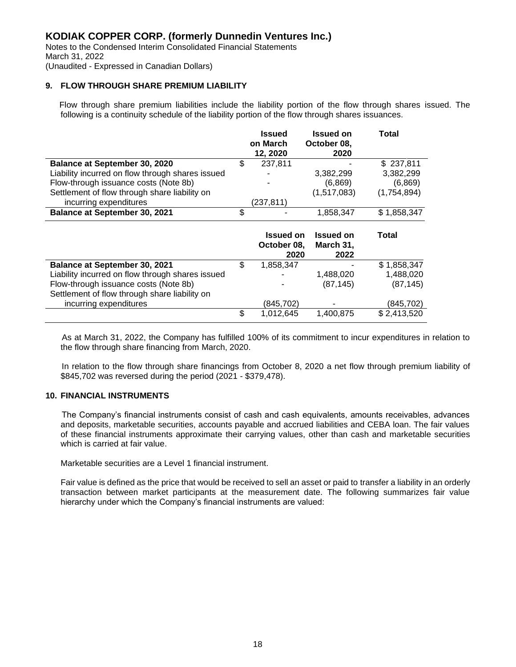Notes to the Condensed Interim Consolidated Financial Statements March 31, 2022 (Unaudited - Expressed in Canadian Dollars)

# **9. FLOW THROUGH SHARE PREMIUM LIABILITY**

 Flow through share premium liabilities include the liability portion of the flow through shares issued. The following is a continuity schedule of the liability portion of the flow through shares issuances.

|                                                  | <b>Issued</b><br>on March<br>12, 2020 | Issued on<br>October 08,<br>2020      | Total       |
|--------------------------------------------------|---------------------------------------|---------------------------------------|-------------|
| <b>Balance at September 30, 2020</b>             | \$<br>237,811                         |                                       | \$237,811   |
| Liability incurred on flow through shares issued |                                       | 3,382,299                             | 3,382,299   |
| Flow-through issuance costs (Note 8b)            |                                       | (6.869)                               | (6,869)     |
| Settlement of flow through share liability on    |                                       | (1,517,083)                           | (1,754,894) |
| incurring expenditures                           | (237, 811)                            |                                       |             |
| <b>Balance at September 30, 2021</b>             | \$                                    | 1,858,347                             | \$1,858,347 |
|                                                  | <b>Issued on</b>                      |                                       |             |
|                                                  | October 08,<br>2020                   | <b>Issued on</b><br>March 31,<br>2022 | Total       |
| <b>Balance at September 30, 2021</b>             | \$<br>1,858,347                       |                                       | \$1,858,347 |
| Liability incurred on flow through shares issued |                                       | 1,488,020                             | 1,488,020   |
| Flow-through issuance costs (Note 8b)            |                                       | (87, 145)                             | (87, 145)   |
| Settlement of flow through share liability on    |                                       |                                       |             |
| incurring expenditures                           | \$<br>(845,702)                       |                                       | (845, 702)  |

 As at March 31, 2022, the Company has fulfilled 100% of its commitment to incur expenditures in relation to the flow through share financing from March, 2020.

 In relation to the flow through share financings from October 8, 2020 a net flow through premium liability of \$845,702 was reversed during the period (2021 - \$379,478).

#### **10. FINANCIAL INSTRUMENTS**

 The Company's financial instruments consist of cash and cash equivalents, amounts receivables, advances and deposits, marketable securities, accounts payable and accrued liabilities and CEBA loan. The fair values of these financial instruments approximate their carrying values, other than cash and marketable securities which is carried at fair value.

Marketable securities are a Level 1 financial instrument.

Fair value is defined as the price that would be received to sell an asset or paid to transfer a liability in an orderly transaction between market participants at the measurement date. The following summarizes fair value hierarchy under which the Company's financial instruments are valued: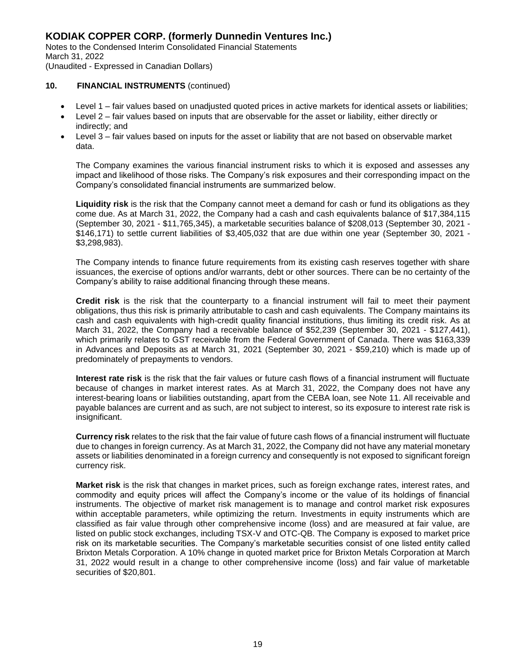Notes to the Condensed Interim Consolidated Financial Statements March 31, 2022 (Unaudited - Expressed in Canadian Dollars)

#### **10. FINANCIAL INSTRUMENTS** (continued)

- Level 1 fair values based on unadjusted quoted prices in active markets for identical assets or liabilities;
- Level 2 fair values based on inputs that are observable for the asset or liability, either directly or indirectly; and
- Level 3 fair values based on inputs for the asset or liability that are not based on observable market data.

The Company examines the various financial instrument risks to which it is exposed and assesses any impact and likelihood of those risks. The Company's risk exposures and their corresponding impact on the Company's consolidated financial instruments are summarized below.

 **Liquidity risk** is the risk that the Company cannot meet a demand for cash or fund its obligations as they come due. As at March 31, 2022, the Company had a cash and cash equivalents balance of \$17,384,115 (September 30, 2021 - \$11,765,345), a marketable securities balance of \$208,013 (September 30, 2021 - \$146,171) to settle current liabilities of \$3,405,032 that are due within one year (September 30, 2021 - \$3,298,983).

 The Company intends to finance future requirements from its existing cash reserves together with share issuances, the exercise of options and/or warrants, debt or other sources. There can be no certainty of the Company's ability to raise additional financing through these means.

 **Credit risk** is the risk that the counterparty to a financial instrument will fail to meet their payment obligations, thus this risk is primarily attributable to cash and cash equivalents. The Company maintains its cash and cash equivalents with high-credit quality financial institutions, thus limiting its credit risk. As at March 31, 2022, the Company had a receivable balance of \$52,239 (September 30, 2021 - \$127,441), which primarily relates to GST receivable from the Federal Government of Canada. There was \$163,339 in Advances and Deposits as at March 31, 2021 (September 30, 2021 - \$59,210) which is made up of predominately of prepayments to vendors.

 **Interest rate risk** is the risk that the fair values or future cash flows of a financial instrument will fluctuate because of changes in market interest rates. As at March 31, 2022, the Company does not have any interest-bearing loans or liabilities outstanding, apart from the CEBA loan, see Note 11. All receivable and payable balances are current and as such, are not subject to interest, so its exposure to interest rate risk is insignificant.

 **Currency risk** relates to the risk that the fair value of future cash flows of a financial instrument will fluctuate due to changes in foreign currency. As at March 31, 2022, the Company did not have any material monetary assets or liabilities denominated in a foreign currency and consequently is not exposed to significant foreign currency risk.

**Market risk** is the risk that changes in market prices, such as foreign exchange rates, interest rates, and commodity and equity prices will affect the Company's income or the value of its holdings of financial instruments. The objective of market risk management is to manage and control market risk exposures within acceptable parameters, while optimizing the return. Investments in equity instruments which are classified as fair value through other comprehensive income (loss) and are measured at fair value, are listed on public stock exchanges, including TSX-V and OTC-QB. The Company is exposed to market price risk on its marketable securities. The Company's marketable securities consist of one listed entity called Brixton Metals Corporation. A 10% change in quoted market price for Brixton Metals Corporation at March 31, 2022 would result in a change to other comprehensive income (loss) and fair value of marketable securities of \$20,801.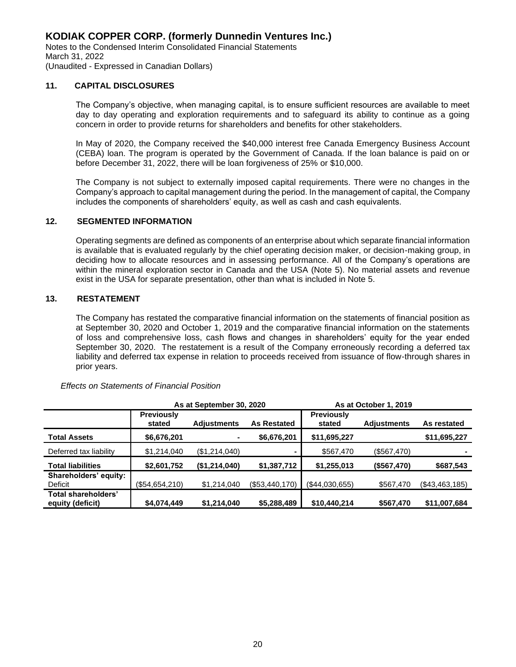Notes to the Condensed Interim Consolidated Financial Statements March 31, 2022 (Unaudited - Expressed in Canadian Dollars)

#### **11. CAPITAL DISCLOSURES**

The Company's objective, when managing capital, is to ensure sufficient resources are available to meet day to day operating and exploration requirements and to safeguard its ability to continue as a going concern in order to provide returns for shareholders and benefits for other stakeholders.

In May of 2020, the Company received the \$40,000 interest free Canada Emergency Business Account (CEBA) loan. The program is operated by the Government of Canada. If the loan balance is paid on or before December 31, 2022, there will be loan forgiveness of 25% or \$10,000.

The Company is not subject to externally imposed capital requirements. There were no changes in the Company's approach to capital management during the period. In the management of capital, the Company includes the components of shareholders' equity, as well as cash and cash equivalents.

#### **12. SEGMENTED INFORMATION**

 Operating segments are defined as components of an enterprise about which separate financial information is available that is evaluated regularly by the chief operating decision maker, or decision-making group, in deciding how to allocate resources and in assessing performance. All of the Company's operations are within the mineral exploration sector in Canada and the USA (Note 5). No material assets and revenue exist in the USA for separate presentation, other than what is included in Note 5.

#### **13. RESTATEMENT**

 The Company has restated the comparative financial information on the statements of financial position as at September 30, 2020 and October 1, 2019 and the comparative financial information on the statements of loss and comprehensive loss, cash flows and changes in shareholders' equity for the year ended September 30, 2020. The restatement is a result of the Company erroneously recording a deferred tax liability and deferred tax expense in relation to proceeds received from issuance of flow-through shares in prior years.

|                                         | As at September 30, 2020    |                    |                    | As at October 1, 2019       |                    |                |
|-----------------------------------------|-----------------------------|--------------------|--------------------|-----------------------------|--------------------|----------------|
|                                         | <b>Previously</b><br>stated | <b>Adiustments</b> | <b>As Restated</b> | <b>Previously</b><br>stated | <b>Adjustments</b> | As restated    |
| <b>Total Assets</b>                     | \$6,676,201                 |                    | \$6,676,201        | \$11,695,227                |                    | \$11,695,227   |
| Deferred tax liability                  | \$1,214,040                 | (\$1,214,040)      |                    | \$567,470                   | (\$567,470)        |                |
| <b>Total liabilities</b>                | \$2,601,752                 | (\$1,214,040)      | \$1,387,712        | \$1,255,013                 | (\$567,470)        | \$687,543      |
| Shareholders' equity:<br>Deficit        | (\$54,654,210)              | \$1,214,040        | (\$53,440,170)     | (\$44,030,655)              | \$567,470          | (\$43,463,185) |
| Total shareholders'<br>equity (deficit) | \$4,074,449                 | \$1,214,040        | \$5,288,489        | \$10,440,214                | \$567,470          | \$11,007,684   |

*Effects on Statements of Financial Position*